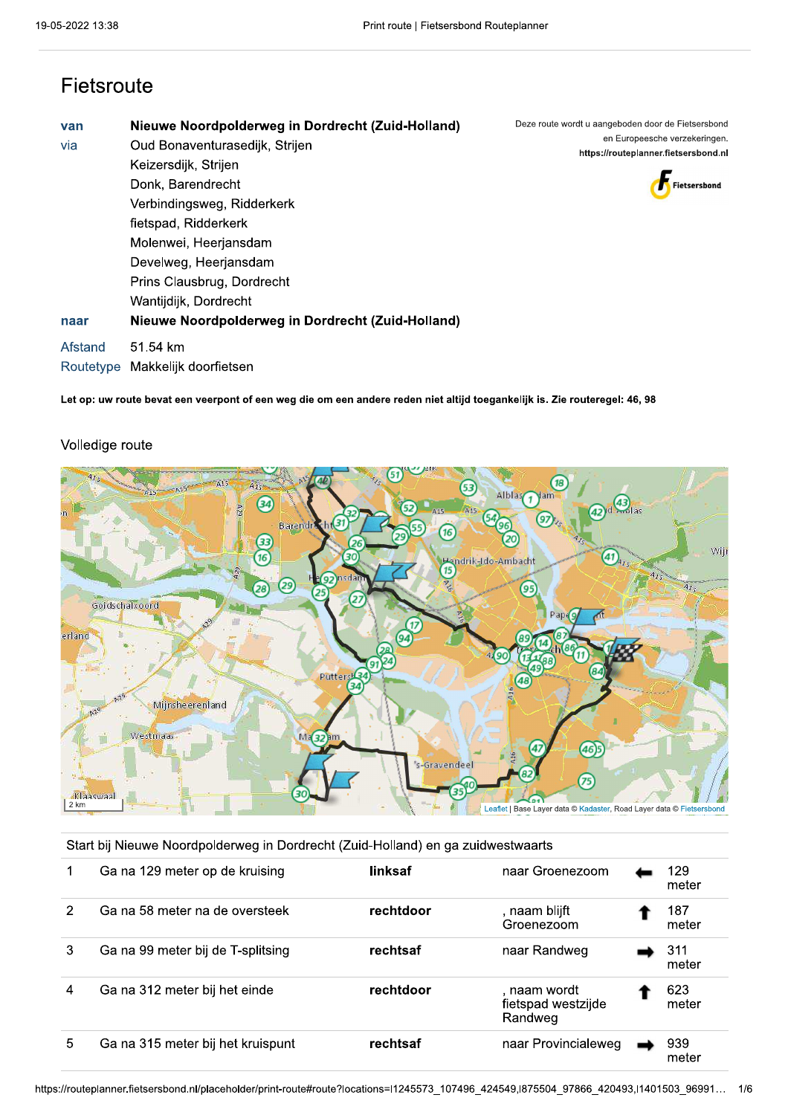### Fietsroute

| van<br>via<br>naar | Nieuwe Noordpolderweg in Dordrecht (Zuid-Holland)<br>Oud Bonaventurasedijk, Strijen<br>Keizersdijk, Strijen<br>Donk, Barendrecht<br>Verbindingsweg, Ridderkerk<br>fietspad, Ridderkerk<br>Molenwei, Heerjansdam<br>Develweg, Heerjansdam<br>Prins Clausbrug, Dordrecht<br>Wantijdijk, Dordrecht<br>Nieuwe Noordpolderweg in Dordrecht (Zuid-Holland) | Deze route wordt u aangeboden door de Fietsersbond<br>en Europeesche verzekeringen.<br>https://routeplanner.fietsersbond.nl<br>Fietsersbond |
|--------------------|------------------------------------------------------------------------------------------------------------------------------------------------------------------------------------------------------------------------------------------------------------------------------------------------------------------------------------------------------|---------------------------------------------------------------------------------------------------------------------------------------------|
| Afstand            | 51.54 km<br>Routetyne, Makkelijk doorfietsen.                                                                                                                                                                                                                                                                                                        |                                                                                                                                             |

Let op: uw route bevat een veerpont of een weg die om een andere reden niet altijd toegankelijk is. Zie routeregel: 46, 98





#### Start bij Nieuwe Noordpolderweg in Dordrecht (Zuid-Holland) en ga zuidwestwaarts

|    | Ga na 129 meter op de kruising    | linksaf   | naar Groenezoom                               | 129<br>meter |
|----|-----------------------------------|-----------|-----------------------------------------------|--------------|
| 2  | Ga na 58 meter na de oversteek    | rechtdoor | , naam blijft<br>Groenezoom                   | 187<br>meter |
| 3  | Ga na 99 meter bij de T-splitsing | rechtsaf  | naar Randweg                                  | 311<br>meter |
| 4  | Ga na 312 meter bij het einde     | rechtdoor | . naam wordt<br>fietspad westzijde<br>Randweg | 623<br>meter |
| 5. | Ga na 315 meter bij het kruispunt | rechtsaf  | naar Provincialeweg                           | 939<br>meter |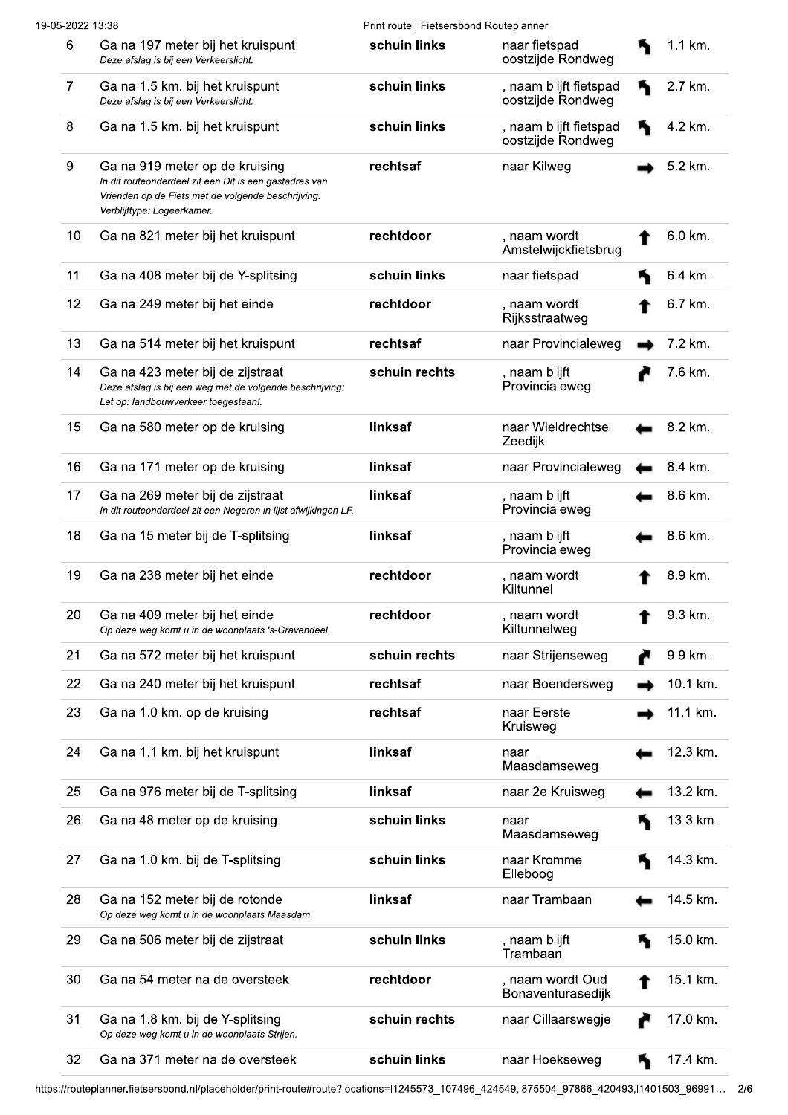| 19-05-2022 13:38 |                                                                                                                                                                              | Print route   Fietsersbond Routeplanner |                                             |          |
|------------------|------------------------------------------------------------------------------------------------------------------------------------------------------------------------------|-----------------------------------------|---------------------------------------------|----------|
| 6                | Ga na 197 meter bij het kruispunt<br>Deze afslag is bij een Verkeerslicht.                                                                                                   | schuin links                            | naar fietspad<br>oostzijde Rondweg          | 1.1 km.  |
| 7                | Ga na 1.5 km. bij het kruispunt<br>Deze afslag is bij een Verkeerslicht.                                                                                                     | schuin links                            | , naam blijft fietspad<br>oostzijde Rondweg | 2.7 km.  |
| 8                | Ga na 1.5 km. bij het kruispunt                                                                                                                                              | schuin links                            | , naam blijft fietspad<br>oostzijde Rondweg | 4.2 km.  |
| 9                | Ga na 919 meter op de kruising<br>In dit routeonderdeel zit een Dit is een gastadres van<br>Vrienden op de Fiets met de volgende beschrijving:<br>Verblijftype: Logeerkamer. | rechtsaf                                | naar Kilweg                                 | 5.2 km.  |
| 10               | Ga na 821 meter bij het kruispunt                                                                                                                                            | rechtdoor                               | , naam wordt<br>Amstelwijckfietsbrug        | 6.0 km.  |
| 11               | Ga na 408 meter bij de Y-splitsing                                                                                                                                           | schuin links                            | naar fietspad                               | 6.4 km.  |
| 12               | Ga na 249 meter bij het einde                                                                                                                                                | rechtdoor                               | , naam wordt<br>Rijksstraatweg              | 6.7 km.  |
| 13               | Ga na 514 meter bij het kruispunt                                                                                                                                            | rechtsaf                                | naar Provincialeweg                         | 7.2 km.  |
| 14               | Ga na 423 meter bij de zijstraat<br>Deze afslag is bij een weg met de volgende beschrijving:<br>Let op: landbouwverkeer toegestaan!.                                         | schuin rechts                           | , naam blijft<br>Provincialeweg             | 7.6 km.  |
| 15               | Ga na 580 meter op de kruising                                                                                                                                               | linksaf                                 | naar Wieldrechtse<br>Zeedijk                | 8.2 km.  |
| 16               | Ga na 171 meter op de kruising                                                                                                                                               | linksaf                                 | naar Provincialeweg                         | 8.4 km.  |
| 17               | Ga na 269 meter bij de zijstraat<br>In dit routeonderdeel zit een Negeren in lijst afwijkingen LF.                                                                           | linksaf                                 | , naam blijft<br>Provincialeweg             | 8.6 km.  |
| 18               | Ga na 15 meter bij de T-splitsing                                                                                                                                            | linksaf                                 | , naam blijft<br>Provincialeweg             | 8.6 km.  |
| 19               | Ga na 238 meter bij het einde                                                                                                                                                | rechtdoor                               | , naam wordt<br>Kiltunnel                   | 8.9 km.  |
| 20               | Ga na 409 meter bij het einde<br>Op deze weg komt u in de woonplaats 's-Gravendeel.                                                                                          | rechtdoor                               | naam wordt<br>Kiltunnelweg                  | 9.3 km.  |
| 21               | Ga na 572 meter bij het kruispunt                                                                                                                                            | schuin rechts                           | naar Strijenseweg                           | 9.9 km.  |
| 22               | Ga na 240 meter bij het kruispunt                                                                                                                                            | rechtsaf                                | naar Boendersweg                            | 10.1 km. |
| 23               | Ga na 1.0 km. op de kruising                                                                                                                                                 | rechtsaf                                | naar Eerste<br>Kruisweg                     | 11.1 km. |
| 24               | Ga na 1.1 km. bij het kruispunt                                                                                                                                              | linksaf                                 | naar<br>Maasdamseweg                        | 12.3 km. |
| 25               | Ga na 976 meter bij de T-splitsing                                                                                                                                           | linksaf                                 | naar 2e Kruisweg                            | 13.2 km. |
| 26               | Ga na 48 meter op de kruising                                                                                                                                                | schuin links                            | naar<br>Maasdamseweg                        | 13.3 km. |
| 27               | Ga na 1.0 km. bij de T-splitsing                                                                                                                                             | schuin links                            | naar Kromme<br>Elleboog                     | 14.3 km. |
| 28               | Ga na 152 meter bij de rotonde<br>Op deze weg komt u in de woonplaats Maasdam.                                                                                               | linksaf                                 | naar Trambaan                               | 14.5 km. |
| 29               | Ga na 506 meter bij de zijstraat                                                                                                                                             | schuin links                            | , naam blijft<br>Trambaan                   | 15.0 km. |
| 30               | Ga na 54 meter na de oversteek                                                                                                                                               | rechtdoor                               | , naam wordt Oud<br>Bonaventurasedijk       | 15.1 km. |
| 31               | Ga na 1.8 km. bij de Y-splitsing<br>Op deze weg komt u in de woonplaats Strijen.                                                                                             | schuin rechts                           | naar Cillaarswegje                          | 17.0 km. |
| 32               | Ga na 371 meter na de oversteek                                                                                                                                              | schuin links                            | naar Hoekseweg                              | 17.4 km. |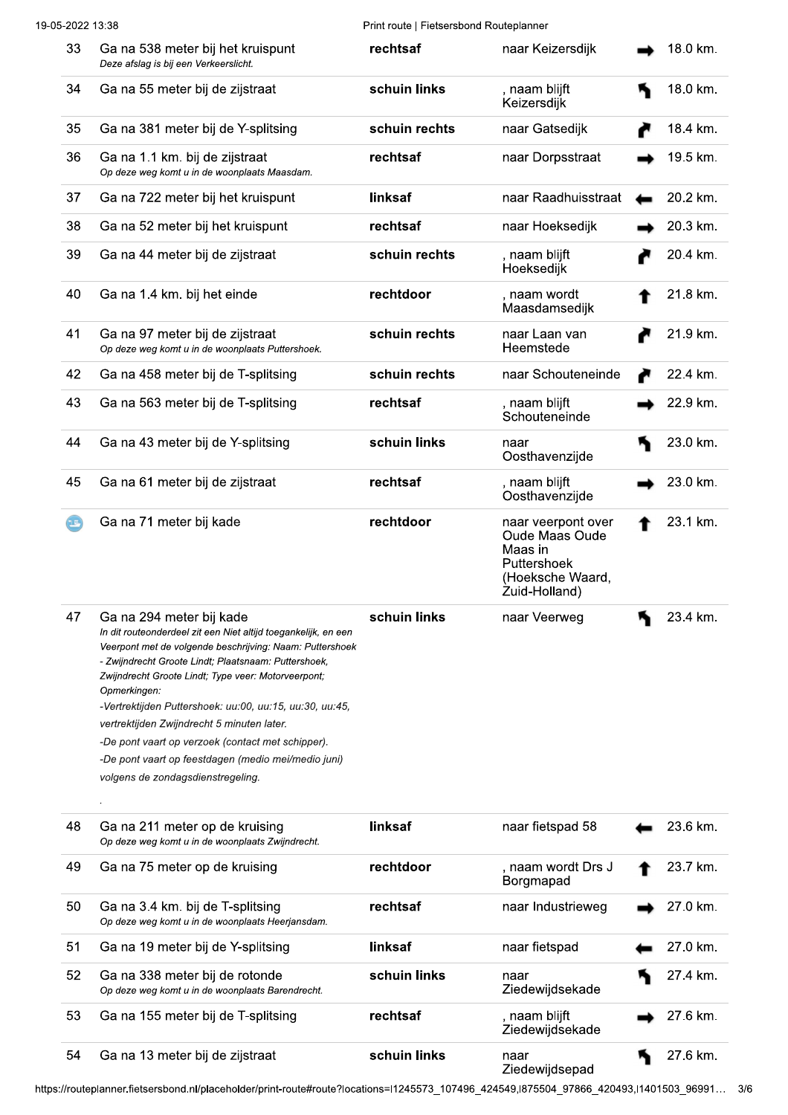| 19-05-2022 13:38 |                            |                                                                                                                                                                                                                                                                                                                                                                                                                                                                                                                                                 | Print route   Fietsersbond Routeplanner |                                                                                                     |  |          |  |
|------------------|----------------------------|-------------------------------------------------------------------------------------------------------------------------------------------------------------------------------------------------------------------------------------------------------------------------------------------------------------------------------------------------------------------------------------------------------------------------------------------------------------------------------------------------------------------------------------------------|-----------------------------------------|-----------------------------------------------------------------------------------------------------|--|----------|--|
|                  | 33                         | Ga na 538 meter bij het kruispunt<br>Deze afslag is bij een Verkeerslicht.                                                                                                                                                                                                                                                                                                                                                                                                                                                                      | rechtsaf                                | naar Keizersdijk                                                                                    |  | 18.0 km. |  |
|                  | 34                         | Ga na 55 meter bij de zijstraat                                                                                                                                                                                                                                                                                                                                                                                                                                                                                                                 | schuin links                            | , naam blijft<br>Keizersdijk                                                                        |  | 18.0 km. |  |
|                  | 35                         | Ga na 381 meter bij de Y-splitsing                                                                                                                                                                                                                                                                                                                                                                                                                                                                                                              | schuin rechts                           | naar Gatsedijk                                                                                      |  | 18.4 km. |  |
|                  | 36                         | Ga na 1.1 km. bij de zijstraat<br>Op deze weg komt u in de woonplaats Maasdam.                                                                                                                                                                                                                                                                                                                                                                                                                                                                  | rechtsaf                                | naar Dorpsstraat                                                                                    |  | 19.5 km. |  |
|                  | 37                         | Ga na 722 meter bij het kruispunt                                                                                                                                                                                                                                                                                                                                                                                                                                                                                                               | linksaf                                 | naar Raadhuisstraat                                                                                 |  | 20.2 km. |  |
|                  | 38                         | Ga na 52 meter bij het kruispunt                                                                                                                                                                                                                                                                                                                                                                                                                                                                                                                | rechtsaf                                | naar Hoeksedijk                                                                                     |  | 20.3 km. |  |
|                  | 39                         | Ga na 44 meter bij de zijstraat                                                                                                                                                                                                                                                                                                                                                                                                                                                                                                                 | schuin rechts                           | , naam blijft<br>Hoeksedijk                                                                         |  | 20.4 km. |  |
|                  | 40                         | Ga na 1.4 km. bij het einde                                                                                                                                                                                                                                                                                                                                                                                                                                                                                                                     | rechtdoor                               | , naam wordt<br>Maasdamsedijk                                                                       |  | 21.8 km. |  |
|                  | 41                         | Ga na 97 meter bij de zijstraat<br>Op deze weg komt u in de woonplaats Puttershoek.                                                                                                                                                                                                                                                                                                                                                                                                                                                             | schuin rechts                           | naar Laan van<br>Heemstede                                                                          |  | 21.9 km. |  |
|                  | 42                         | Ga na 458 meter bij de T-splitsing                                                                                                                                                                                                                                                                                                                                                                                                                                                                                                              | schuin rechts                           | naar Schouteneinde                                                                                  |  | 22.4 km. |  |
|                  | 43                         | Ga na 563 meter bij de T-splitsing                                                                                                                                                                                                                                                                                                                                                                                                                                                                                                              | rechtsaf                                | , naam blijft<br>Schouteneinde                                                                      |  | 22.9 km. |  |
|                  | 44                         | Ga na 43 meter bij de Y-splitsing                                                                                                                                                                                                                                                                                                                                                                                                                                                                                                               | schuin links                            | naar<br>Oosthavenzijde                                                                              |  | 23.0 km. |  |
|                  | 45                         | Ga na 61 meter bij de zijstraat                                                                                                                                                                                                                                                                                                                                                                                                                                                                                                                 | rechtsaf                                | , naam blijft<br>Oosthavenzijde                                                                     |  | 23.0 km. |  |
|                  | $\left( 1, \ldots \right)$ | Ga na 71 meter bij kade                                                                                                                                                                                                                                                                                                                                                                                                                                                                                                                         | rechtdoor                               | naar veerpont over<br>Oude Maas Oude<br>Maas in<br>Puttershoek<br>(Hoeksche Waard,<br>Zuid-Holland) |  | 23.1 km. |  |
|                  | 47                         | Ga na 294 meter bij kade<br>In dit routeonderdeel zit een Niet altijd toegankelijk, en een<br>Veerpont met de volgende beschrijving: Naam: Puttershoek<br>- Zwijndrecht Groote Lindt; Plaatsnaam: Puttershoek,<br>Zwijndrecht Groote Lindt; Type veer: Motorveerpont;<br>Opmerkingen:<br>-Vertrektijden Puttershoek: uu:00, uu:15, uu:30, uu:45,<br>vertrektijden Zwijndrecht 5 minuten later.<br>-De pont vaart op verzoek (contact met schipper).<br>-De pont vaart op feestdagen (medio mei/medio juni)<br>volgens de zondagsdienstregeling. | schuin links                            | naar Veerweg                                                                                        |  | 23.4 km. |  |
|                  | 48                         | Ga na 211 meter op de kruising<br>Op deze weg komt u in de woonplaats Zwijndrecht.                                                                                                                                                                                                                                                                                                                                                                                                                                                              | linksaf                                 | naar fietspad 58                                                                                    |  | 23.6 km. |  |
|                  | 49                         | Ga na 75 meter op de kruising                                                                                                                                                                                                                                                                                                                                                                                                                                                                                                                   | rechtdoor                               | , naam wordt Drs J<br>Borgmapad                                                                     |  | 23.7 km. |  |
|                  | 50                         | Ga na 3.4 km. bij de T-splitsing<br>Op deze weg komt u in de woonplaats Heerjansdam.                                                                                                                                                                                                                                                                                                                                                                                                                                                            | rechtsaf                                | naar Industrieweg                                                                                   |  | 27.0 km. |  |
|                  | 51                         | Ga na 19 meter bij de Y-splitsing                                                                                                                                                                                                                                                                                                                                                                                                                                                                                                               | linksaf                                 | naar fietspad                                                                                       |  | 27.0 km. |  |
|                  | 52                         | Ga na 338 meter bij de rotonde<br>Op deze weg komt u in de woonplaats Barendrecht.                                                                                                                                                                                                                                                                                                                                                                                                                                                              | schuin links                            | naar<br>Ziedewijdsekade                                                                             |  | 27.4 km. |  |
|                  | 53                         | Ga na 155 meter bij de T-splitsing                                                                                                                                                                                                                                                                                                                                                                                                                                                                                                              | rechtsaf                                | , naam blijft<br>Ziedewijdsekade                                                                    |  | 27.6 km. |  |

54 Ga na 13 meter bij de zijstraat schuin links 4 27.6 km. naar Ziedewijdsepad

https://routeplanner.fietsersbond.nl/placeholder/print-route#route?locations=l1245573\_107496\_424549,l875504\_97866\_420493,l1401503\_96991... 3/6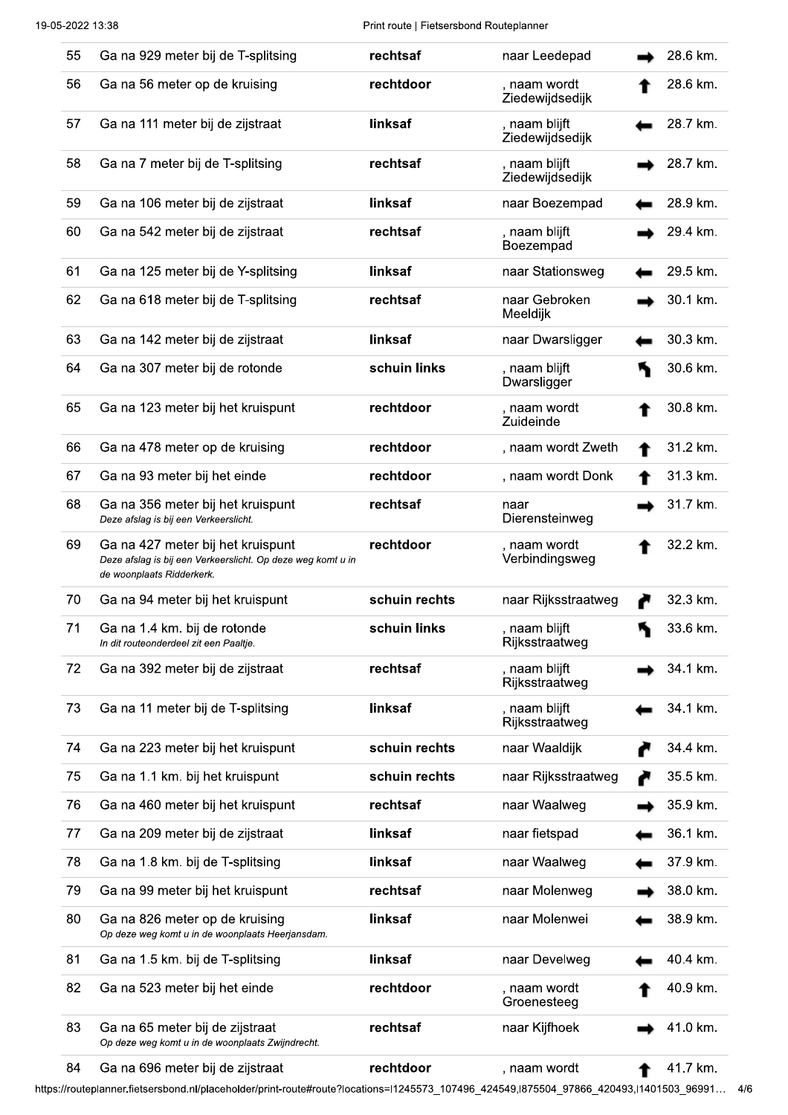Print route | Fietsersbond Routeplanner

| 55 | Ga na 929 meter bij de T-splitsing                                                                                            | rechtsaf      | naar Leedepad                    | 28.6 km. |
|----|-------------------------------------------------------------------------------------------------------------------------------|---------------|----------------------------------|----------|
| 56 | Ga na 56 meter op de kruising                                                                                                 | rechtdoor     | , naam wordt<br>Ziedewijdsedijk  | 28.6 km. |
| 57 | Ga na 111 meter bij de zijstraat                                                                                              | linksaf       | , naam blijft<br>Ziedewijdsedijk | 28.7 km. |
| 58 | Ga na 7 meter bij de T-splitsing                                                                                              | rechtsaf      | , naam blijft<br>Ziedewijdsedijk | 28.7 km. |
| 59 | Ga na 106 meter bij de zijstraat                                                                                              | linksaf       | naar Boezempad                   | 28.9 km. |
| 60 | Ga na 542 meter bij de zijstraat                                                                                              | rechtsaf      | , naam blijft<br>Boezempad       | 29.4 km. |
| 61 | Ga na 125 meter bij de Y-splitsing                                                                                            | linksaf       | naar Stationsweg                 | 29.5 km. |
| 62 | Ga na 618 meter bij de T-splitsing                                                                                            | rechtsaf      | naar Gebroken<br>Meeldijk        | 30.1 km. |
| 63 | Ga na 142 meter bij de zijstraat                                                                                              | linksaf       | naar Dwarsligger                 | 30.3 km. |
| 64 | Ga na 307 meter bij de rotonde                                                                                                | schuin links  | , naam blijft<br>Dwarsligger     | 30.6 km. |
| 65 | Ga na 123 meter bij het kruispunt                                                                                             | rechtdoor     | , naam wordt<br>Zuideinde        | 30.8 km. |
| 66 | Ga na 478 meter op de kruising                                                                                                | rechtdoor     | , naam wordt Zweth               | 31.2 km. |
| 67 | Ga na 93 meter bij het einde                                                                                                  | rechtdoor     | , naam wordt Donk                | 31.3 km. |
| 68 | Ga na 356 meter bij het kruispunt<br>Deze afslag is bij een Verkeerslicht.                                                    | rechtsaf      | naar<br>Dierensteinweg           | 31.7 km. |
| 69 | Ga na 427 meter bij het kruispunt<br>Deze afslag is bij een Verkeerslicht. Op deze weg komt u in<br>de woonplaats Ridderkerk. | rechtdoor     | , naam wordt<br>Verbindingsweg   | 32.2 km. |
| 70 | Ga na 94 meter bij het kruispunt                                                                                              | schuin rechts | naar Rijksstraatweg              | 32.3 km. |
| 71 | Ga na 1.4 km. bij de rotonde<br>In dit routeonderdeel zit een Paaltje.                                                        | schuin links  | naam blijft<br>Rijksstraatweg    | 33.6 km. |
| 72 | Ga na 392 meter bij de zijstraat                                                                                              | rechtsaf      | , naam blijft<br>Rijksstraatweg  | 34.1 km. |
| 73 | Ga na 11 meter bij de T-splitsing                                                                                             | linksaf       | , naam blijft<br>Rijksstraatweg  | 34.1 km. |
| 74 | Ga na 223 meter bij het kruispunt                                                                                             | schuin rechts | naar Waaldijk                    | 34.4 km. |
| 75 | Ga na 1.1 km. bij het kruispunt                                                                                               | schuin rechts | naar Rijksstraatweg              | 35.5 km. |
| 76 | Ga na 460 meter bij het kruispunt                                                                                             | rechtsaf      | naar Waalweg                     | 35.9 km. |
| 77 | Ga na 209 meter bij de zijstraat                                                                                              | linksaf       | naar fietspad                    | 36.1 km. |
| 78 | Ga na 1.8 km. bij de T-splitsing                                                                                              | linksaf       | naar Waalweg                     | 37.9 km. |
| 79 | Ga na 99 meter bij het kruispunt                                                                                              | rechtsaf      | naar Molenweg                    | 38.0 km. |
| 80 | Ga na 826 meter op de kruising<br>Op deze weg komt u in de woonplaats Heerjansdam.                                            | linksaf       | naar Molenwei                    | 38.9 km. |
| 81 | Ga na 1.5 km. bij de T-splitsing                                                                                              | linksaf       | naar Develweg                    | 40.4 km. |
| 82 | Ga na 523 meter bij het einde                                                                                                 | rechtdoor     | , naam wordt<br>Groenesteeg      | 40.9 km. |
| 83 | Ga na 65 meter bij de zijstraat<br>Op deze weg komt u in de woonplaats Zwijndrecht.                                           | rechtsaf      | naar Kijfhoek                    | 41.0 km. |
| 84 | Ga na 696 meter bij de zijstraat                                                                                              | rechtdoor     | , naam wordt                     | 41.7 km. |

https://routeplanner.fietsersbond.nl/placeholder/print-route#route?locations=l1245573\_107496\_424549,l875504\_97866\_420493,l1401503\_96991... 4/6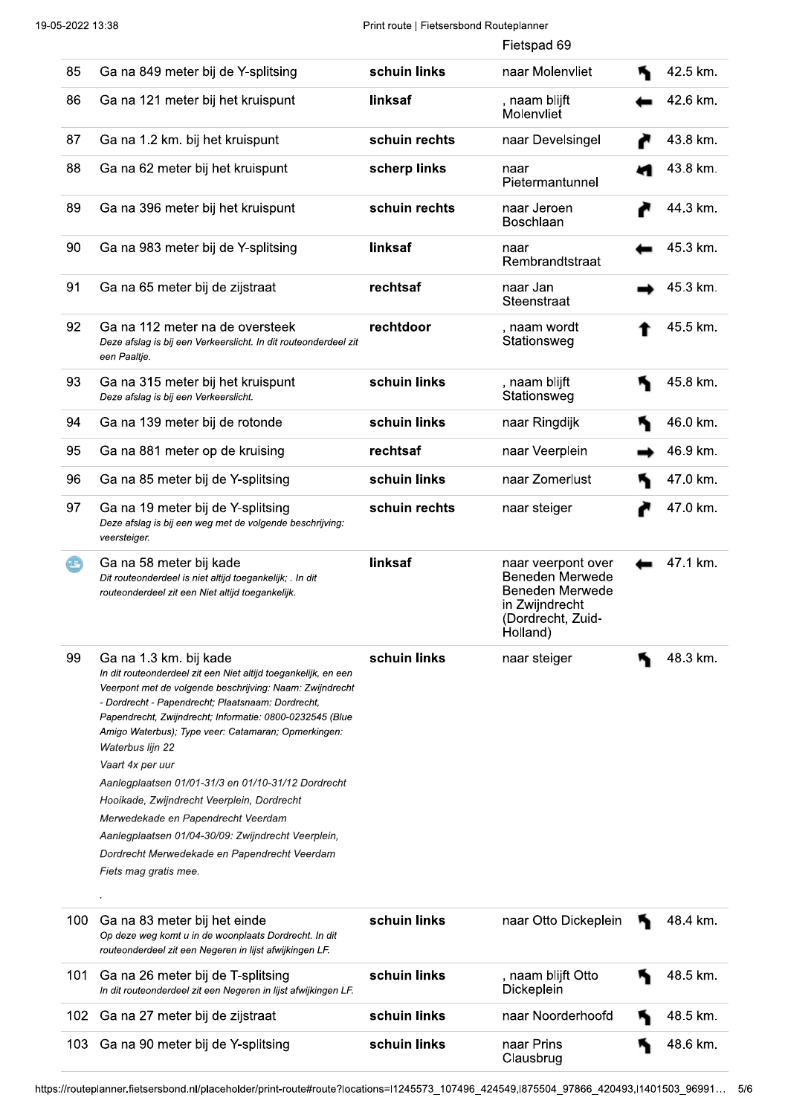#### Print route | Fietsersbond Routeplanner

|                            |                                                                                                                                                                                                                                                                                                                                                                                                                                                                                                                                                                                                                                               |               | Fietspad 69                                                                                                        |          |
|----------------------------|-----------------------------------------------------------------------------------------------------------------------------------------------------------------------------------------------------------------------------------------------------------------------------------------------------------------------------------------------------------------------------------------------------------------------------------------------------------------------------------------------------------------------------------------------------------------------------------------------------------------------------------------------|---------------|--------------------------------------------------------------------------------------------------------------------|----------|
| 85                         | Ga na 849 meter bij de Y-splitsing                                                                                                                                                                                                                                                                                                                                                                                                                                                                                                                                                                                                            | schuin links  | naar Molenvliet                                                                                                    | 42.5 km. |
| 86                         | Ga na 121 meter bij het kruispunt                                                                                                                                                                                                                                                                                                                                                                                                                                                                                                                                                                                                             | linksaf       | , naam blijft<br>Molenvliet                                                                                        | 42.6 km. |
| 87                         | Ga na 1.2 km. bij het kruispunt                                                                                                                                                                                                                                                                                                                                                                                                                                                                                                                                                                                                               | schuin rechts | naar Develsingel                                                                                                   | 43.8 km. |
| 88                         | Ga na 62 meter bij het kruispunt                                                                                                                                                                                                                                                                                                                                                                                                                                                                                                                                                                                                              | scherp links  | naar<br>Pietermantunnel                                                                                            | 43.8 km. |
| 89                         | Ga na 396 meter bij het kruispunt                                                                                                                                                                                                                                                                                                                                                                                                                                                                                                                                                                                                             | schuin rechts | naar Jeroen<br><b>Boschlaan</b>                                                                                    | 44.3 km. |
| 90                         | Ga na 983 meter bij de Y-splitsing                                                                                                                                                                                                                                                                                                                                                                                                                                                                                                                                                                                                            | linksaf       | naar<br>Rembrandtstraat                                                                                            | 45.3 km. |
| 91                         | Ga na 65 meter bij de zijstraat                                                                                                                                                                                                                                                                                                                                                                                                                                                                                                                                                                                                               | rechtsaf      | naar Jan<br>Steenstraat                                                                                            | 45.3 km. |
| 92                         | Ga na 112 meter na de oversteek<br>Deze afslag is bij een Verkeerslicht. In dit routeonderdeel zit<br>een Paaltje.                                                                                                                                                                                                                                                                                                                                                                                                                                                                                                                            | rechtdoor     | , naam wordt<br>Stationsweg                                                                                        | 45.5 km. |
| 93                         | Ga na 315 meter bij het kruispunt<br>Deze afslag is bij een Verkeerslicht.                                                                                                                                                                                                                                                                                                                                                                                                                                                                                                                                                                    | schuin links  | , naam blijft<br>Stationsweg                                                                                       | 45.8 km. |
| 94                         | Ga na 139 meter bij de rotonde                                                                                                                                                                                                                                                                                                                                                                                                                                                                                                                                                                                                                | schuin links  | naar Ringdijk                                                                                                      | 46.0 km. |
| 95                         | Ga na 881 meter op de kruising                                                                                                                                                                                                                                                                                                                                                                                                                                                                                                                                                                                                                | rechtsaf      | naar Veerplein                                                                                                     | 46.9 km. |
| 96                         | Ga na 85 meter bij de Y-splitsing                                                                                                                                                                                                                                                                                                                                                                                                                                                                                                                                                                                                             | schuin links  | naar Zomerlust                                                                                                     | 47.0 km. |
| 97                         | Ga na 19 meter bij de Y-splitsing<br>Deze afslag is bij een weg met de volgende beschrijving:<br>veersteiger.                                                                                                                                                                                                                                                                                                                                                                                                                                                                                                                                 | schuin rechts | naar steiger                                                                                                       | 47.0 km. |
|                            |                                                                                                                                                                                                                                                                                                                                                                                                                                                                                                                                                                                                                                               |               |                                                                                                                    |          |
| $\left( \mathbf{r}\right)$ | Ga na 58 meter bij kade<br>Dit routeonderdeel is niet altijd toegankelijk; . In dit<br>routeonderdeel zit een Niet altijd toegankelijk.                                                                                                                                                                                                                                                                                                                                                                                                                                                                                                       | linksaf       | naar veerpont over<br>Beneden Merwede<br><b>Beneden Merwede</b><br>in Zwijndrecht<br>(Dordrecht, Zuid-<br>Holland) | 47.1 km. |
| 99                         | Ga na 1.3 km. bij kade<br>In dit routeonderdeel zit een Niet altijd toegankelijk, en een<br>Veerpont met de volgende beschrijving: Naam: Zwijndrecht<br>- Dordrecht - Papendrecht; Plaatsnaam: Dordrecht,<br>Papendrecht, Zwijndrecht; Informatie: 0800-0232545 (Blue<br>Amigo Waterbus); Type veer: Catamaran; Opmerkingen:<br>Waterbus lijn 22<br>Vaart 4x per uur<br>Aanlegplaatsen 01/01-31/3 en 01/10-31/12 Dordrecht<br>Hooikade, Zwijndrecht Veerplein, Dordrecht<br>Merwedekade en Papendrecht Veerdam<br>Aanlegplaatsen 01/04-30/09: Zwijndrecht Veerplein,<br>Dordrecht Merwedekade en Papendrecht Veerdam<br>Fiets mag gratis mee. | schuin links  | naar steiger                                                                                                       | 48.3 km. |
| 100                        | Ga na 83 meter bij het einde<br>Op deze weg komt u in de woonplaats Dordrecht. In dit<br>routeonderdeel zit een Negeren in lijst afwijkingen LF.                                                                                                                                                                                                                                                                                                                                                                                                                                                                                              | schuin links  | naar Otto Dickeplein                                                                                               | 48.4 km. |
| 101                        | Ga na 26 meter bij de T-splitsing<br>In dit routeonderdeel zit een Negeren in lijst afwijkingen LF.                                                                                                                                                                                                                                                                                                                                                                                                                                                                                                                                           | schuin links  | , naam blijft Otto<br>Dickeplein                                                                                   | 48.5 km. |
| 102                        | Ga na 27 meter bij de zijstraat                                                                                                                                                                                                                                                                                                                                                                                                                                                                                                                                                                                                               | schuin links  | naar Noorderhoofd                                                                                                  | 48.5 km. |

https://routeplanner.fietsersbond.nl/placeholder/print-route#route?locations=l1245573\_107496\_424549,l875504\_97866\_420493,l1401503\_96991... 5/6